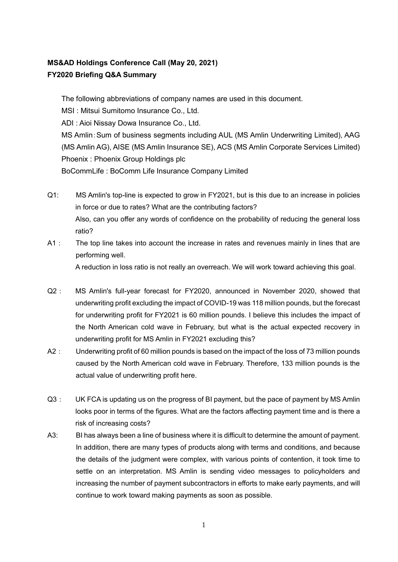## **MS&AD Holdings Conference Call (May 20, 2021) FY2020 Briefing Q&A Summary**

The following abbreviations of company names are used in this document. MSI : Mitsui Sumitomo Insurance Co., Ltd. ADI : Aioi Nissay Dowa Insurance Co., Ltd. MS Amlin:Sum of business segments including AUL (MS Amlin Underwriting Limited), AAG (MS Amlin AG), AISE (MS Amlin Insurance SE), ACS (MS Amlin Corporate Services Limited) Phoenix : Phoenix Group Holdings plc BoCommLife : BoComm Life Insurance Company Limited

- Q1: MS Amlin's top-line is expected to grow in FY2021, but is this due to an increase in policies in force or due to rates? What are the contributing factors? Also, can you offer any words of confidence on the probability of reducing the general loss ratio?
- A1: The top line takes into account the increase in rates and revenues mainly in lines that are performing well. A reduction in loss ratio is not really an overreach. We will work toward achieving this goal.
- Q2: MS Amlin's full-year forecast for FY2020, announced in November 2020, showed that underwriting profit excluding the impact of COVID-19 was 118 million pounds, but the forecast for underwriting profit for FY2021 is 60 million pounds. I believe this includes the impact of the North American cold wave in February, but what is the actual expected recovery in underwriting profit for MS Amlin in FY2021 excluding this?
- A2: Underwriting profit of 60 million pounds is based on the impact of the loss of 73 million pounds caused by the North American cold wave in February. Therefore, 133 million pounds is the actual value of underwriting profit here.
- Q3: UK FCA is updating us on the progress of BI payment, but the pace of payment by MS Amlin looks poor in terms of the figures. What are the factors affecting payment time and is there a risk of increasing costs?
- A3: BI has always been a line of business where it is difficult to determine the amount of payment. In addition, there are many types of products along with terms and conditions, and because the details of the judgment were complex, with various points of contention, it took time to settle on an interpretation. MS Amlin is sending video messages to policyholders and increasing the number of payment subcontractors in efforts to make early payments, and will continue to work toward making payments as soon as possible.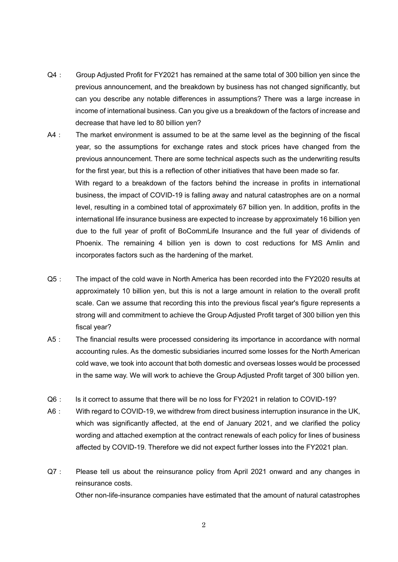- Q4: Group Adjusted Profit for FY2021 has remained at the same total of 300 billion yen since the previous announcement, and the breakdown by business has not changed significantly, but can you describe any notable differences in assumptions? There was a large increase in income of international business. Can you give us a breakdown of the factors of increase and decrease that have led to 80 billion yen?
- A4: The market environment is assumed to be at the same level as the beginning of the fiscal year, so the assumptions for exchange rates and stock prices have changed from the previous announcement. There are some technical aspects such as the underwriting results for the first year, but this is a reflection of other initiatives that have been made so far. With regard to a breakdown of the factors behind the increase in profits in international business, the impact of COVID-19 is falling away and natural catastrophes are on a normal level, resulting in a combined total of approximately 67 billion yen. In addition, profits in the international life insurance business are expected to increase by approximately 16 billion yen due to the full year of profit of BoCommLife Insurance and the full year of dividends of Phoenix. The remaining 4 billion yen is down to cost reductions for MS Amlin and incorporates factors such as the hardening of the market.
- Q5: The impact of the cold wave in North America has been recorded into the FY2020 results at approximately 10 billion yen, but this is not a large amount in relation to the overall profit scale. Can we assume that recording this into the previous fiscal year's figure represents a strong will and commitment to achieve the Group Adjusted Profit target of 300 billion yen this fiscal year?
- A5: The financial results were processed considering its importance in accordance with normal accounting rules. As the domestic subsidiaries incurred some losses for the North American cold wave, we took into account that both domestic and overseas losses would be processed in the same way. We will work to achieve the Group Adjusted Profit target of 300 billion yen.
- Q6: Is it correct to assume that there will be no loss for FY2021 in relation to COVID-19?
- A6: With regard to COVID-19, we withdrew from direct business interruption insurance in the UK, which was significantly affected, at the end of January 2021, and we clarified the policy wording and attached exemption at the contract renewals of each policy for lines of business affected by COVID-19. Therefore we did not expect further losses into the FY2021 plan.
- Q7: Please tell us about the reinsurance policy from April 2021 onward and any changes in reinsurance costs. Other non-life-insurance companies have estimated that the amount of natural catastrophes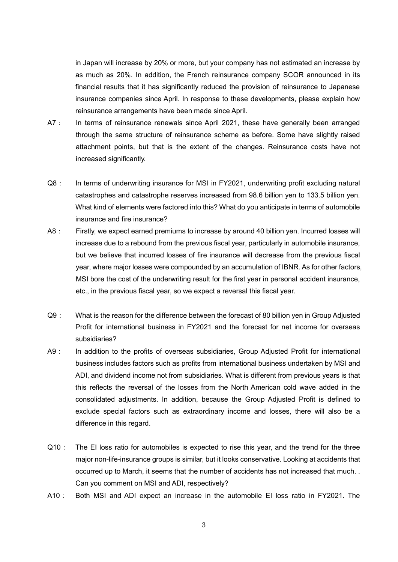in Japan will increase by 20% or more, but your company has not estimated an increase by as much as 20%. In addition, the French reinsurance company SCOR announced in its financial results that it has significantly reduced the provision of reinsurance to Japanese insurance companies since April. In response to these developments, please explain how reinsurance arrangements have been made since April.

- A7: In terms of reinsurance renewals since April 2021, these have generally been arranged through the same structure of reinsurance scheme as before. Some have slightly raised attachment points, but that is the extent of the changes. Reinsurance costs have not increased significantly.
- Q8: In terms of underwriting insurance for MSI in FY2021, underwriting profit excluding natural catastrophes and catastrophe reserves increased from 98.6 billion yen to 133.5 billion yen. What kind of elements were factored into this? What do you anticipate in terms of automobile insurance and fire insurance?
- A8: Firstly, we expect earned premiums to increase by around 40 billion yen. Incurred losses will increase due to a rebound from the previous fiscal year, particularly in automobile insurance, but we believe that incurred losses of fire insurance will decrease from the previous fiscal year, where major losses were compounded by an accumulation of IBNR. As for other factors, MSI bore the cost of the underwriting result for the first year in personal accident insurance, etc., in the previous fiscal year, so we expect a reversal this fiscal year.
- Q9: What is the reason for the difference between the forecast of 80 billion yen in Group Adjusted Profit for international business in FY2021 and the forecast for net income for overseas subsidiaries?
- A9: In addition to the profits of overseas subsidiaries, Group Adjusted Profit for international business includes factors such as profits from international business undertaken by MSI and ADI, and dividend income not from subsidiaries. What is different from previous years is that this reflects the reversal of the losses from the North American cold wave added in the consolidated adjustments. In addition, because the Group Adjusted Profit is defined to exclude special factors such as extraordinary income and losses, there will also be a difference in this regard.
- Q10: The EI loss ratio for automobiles is expected to rise this year, and the trend for the three major non-life-insurance groups is similar, but it looks conservative. Looking at accidents that occurred up to March, it seems that the number of accidents has not increased that much. . Can you comment on MSI and ADI, respectively?
- A10: Both MSI and ADI expect an increase in the automobile EI loss ratio in FY2021. The